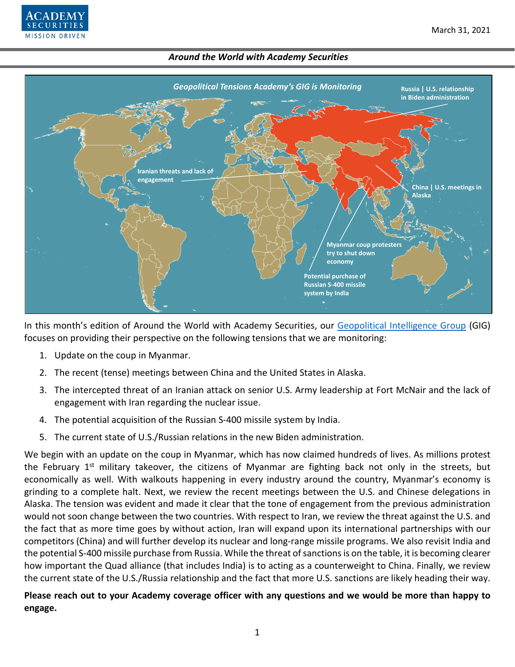



In this month's edition of Around the World with Academy Securities, our [Geopolitical Intelligence Group](https://www.academysecurities.com/geopolitical/geopolitical-intelligence-group/) (GIG) focuses on providing their perspective on the following tensions that we are monitoring:

- 1. Update on the coup in Myanmar.
- 2. The recent (tense) meetings between China and the United States in Alaska.
- 3. The intercepted threat of an Iranian attack on senior U.S. Army leadership at Fort McNair and the lack of engagement with Iran regarding the nuclear issue.
- 4. The potential acquisition of the Russian S-400 missile system by India.
- 5. The current state of U.S./Russian relations in the new Biden administration.

We begin with an update on the coup in Myanmar, which has now claimed hundreds of lives. As millions protest the February 1<sup>st</sup> military takeover, the citizens of Myanmar are fighting back not only in the streets, but economically as well. With walkouts happening in every industry around the country, Myanmar's economy is grinding to a complete halt. Next, we review the recent meetings between the U.S. and Chinese delegations in Alaska. The tension was evident and made it clear that the tone of engagement from the previous administration would not soon change between the two countries. With respect to Iran, we review the threat against the U.S. and the fact that as more time goes by without action, Iran will expand upon its international partnerships with our competitors (China) and will further develop its nuclear and long-range missile programs. We also revisit India and the potential S-400 missile purchase from Russia. While the threat of sanctions is on the table, it is becoming clearer how important the Quad alliance (that includes India) is to acting as a counterweight to China. Finally, we review the current state of the U.S./Russia relationship and the fact that more U.S. sanctions are likely heading their way.

**Please reach out to your Academy coverage officer with any questions and we would be more than happy to engage.**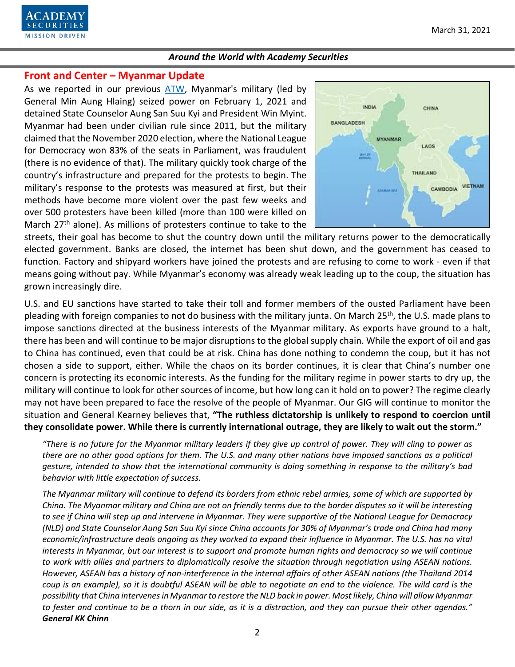

### **Front and Center – Myanmar Update**

As we reported in our previous [ATW,](https://www.academysecurities.com/wordpress/wp-content/uploads/2021/02/Around-the-World-with-Academy-Securities_2_25_21.pdf) Myanmar's military (led by General Min Aung Hlaing) seized power on February 1, 2021 and detained State Counselor Aung San Suu Kyi and President Win Myint. Myanmar had been under civilian rule since 2011, but the military claimed that the November 2020 election, where the National League for Democracy won 83% of the seats in Parliament, was fraudulent (there is no evidence of that). The military quickly took charge of the country's infrastructure and prepared for the protests to begin. The military's response to the protests was measured at first, but their methods have become more violent over the past few weeks and over 500 protesters have been killed (more than 100 were killed on March 27<sup>th</sup> alone). As millions of protesters continue to take to the



streets, their goal has become to shut the country down until the military returns power to the democratically elected government. Banks are closed, the internet has been shut down, and the government has ceased to function. Factory and shipyard workers have joined the protests and are refusing to come to work - even if that means going without pay. While Myanmar's economy was already weak leading up to the coup, the situation has grown increasingly dire.

U.S. and EU sanctions have started to take their toll and former members of the ousted Parliament have been pleading with foreign companies to not do business with the military junta. On March 25<sup>th</sup>, the U.S. made plans to impose sanctions directed at the business interests of the Myanmar military. As exports have ground to a halt, there has been and will continue to be major disruptions to the global supply chain. While the export of oil and gas to China has continued, even that could be at risk. China has done nothing to condemn the coup, but it has not chosen a side to support, either. While the chaos on its border continues, it is clear that China's number one concern is protecting its economic interests. As the funding for the military regime in power starts to dry up, the military will continue to look for other sources of income, but how long can it hold on to power? The regime clearly may not have been prepared to face the resolve of the people of Myanmar. Our GIG will continue to monitor the situation and General Kearney believes that, **"The ruthless dictatorship is unlikely to respond to coercion until they consolidate power. While there is currently international outrage, they are likely to wait out the storm."**

*"There is no future for the Myanmar military leaders if they give up control of power. They will cling to power as there are no other good options for them. The U.S. and many other nations have imposed sanctions as a political gesture, intended to show that the international community is doing something in response to the military's bad behavior with little expectation of success.* 

*The Myanmar military will continue to defend its borders from ethnic rebel armies, some of which are supported by China. The Myanmar military and China are not on friendly terms due to the border disputes so it will be interesting to see if China will step up and intervene in Myanmar. They were supportive of the National League for Democracy (NLD) and State Counselor Aung San Suu Kyi since China accounts for 30% of Myanmar's trade and China had many economic/infrastructure deals ongoing as they worked to expand their influence in Myanmar. The U.S. has no vital interests in Myanmar, but our interest is to support and promote human rights and democracy so we will continue to work with allies and partners to diplomatically resolve the situation through negotiation using ASEAN nations. However, ASEAN has a history of non-interference in the internal affairs of other ASEAN nations (the Thailand 2014*  coup is an example), so it is doubtful ASEAN will be able to negotiate an end to the violence. The wild card is the *possibility that China intervenes in Myanmar to restore the NLD back in power. Most likely, China will allow Myanmar to fester and continue to be a thorn in our side, as it is a distraction, and they can pursue their other agendas." General KK Chinn*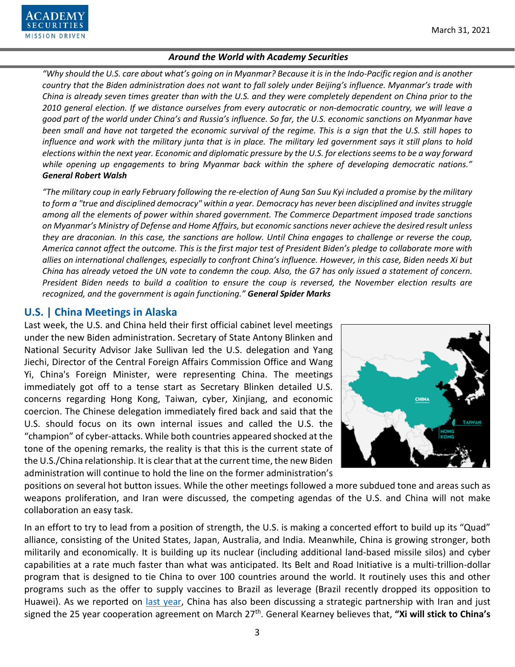

*"Why should the U.S. care about what's going on in Myanmar? Because it is in the Indo-Pacific region and is another country that the Biden administration does not want to fall solely under Beijing's influence. Myanmar's trade with China is already seven times greater than with the U.S. and they were completely dependent on China prior to the 2010 general election. If we distance ourselves from every autocratic or non-democratic country, we will leave a good part of the world under China's and Russia's influence. So far, the U.S. economic sanctions on Myanmar have been small and have not targeted the economic survival of the regime. This is a sign that the U.S. still hopes to influence and work with the military junta that is in place. The military led government says it still plans to hold elections within the next year. Economic and diplomatic pressure by the U.S. for elections seems to be a way forward while opening up engagements to bring Myanmar back within the sphere of developing democratic nations." General Robert Walsh*

*"The military coup in early February following the re-election of Aung San Suu Kyi included a promise by the military to form a "true and disciplined democracy" within a year. Democracy has never been disciplined and invites struggle among all the elements of power within shared government. The Commerce Department imposed trade sanctions on Myanmar's Ministry of Defense and Home Affairs, but economic sanctions never achieve the desired result unless they are draconian. In this case, the sanctions are hollow. Until China engages to challenge or reverse the coup, America cannot affect the outcome. This is the first major test of President Biden's pledge to collaborate more with allies on international challenges, especially to confront China's influence. However, in this case, Biden needs Xi but China has already vetoed the UN vote to condemn the coup. Also, the G7 has only issued a statement of concern. President Biden needs to build a coalition to ensure the coup is reversed, the November election results are recognized, and the government is again functioning." General Spider Marks*

### **U.S. | China Meetings in Alaska**

Last week, the U.S. and China held their first official cabinet level meetings under the new Biden administration. Secretary of State Antony Blinken and National Security Advisor Jake Sullivan led the U.S. delegation and Yang Jiechi, Director of the Central Foreign Affairs Commission Office and Wang Yi, China's Foreign Minister, were representing China. The meetings immediately got off to a tense start as Secretary Blinken detailed U.S. concerns regarding Hong Kong, Taiwan, cyber, Xinjiang, and economic coercion. The Chinese delegation immediately fired back and said that the U.S. should focus on its own internal issues and called the U.S. the "champion" of cyber-attacks. While both countries appeared shocked at the tone of the opening remarks, the reality is that this is the current state of the U.S./China relationship. It is clear that at the current time, the new Biden administration will continue to hold the line on the former administration's



positions on several hot button issues. While the other meetings followed a more subdued tone and areas such as weapons proliferation, and Iran were discussed, the competing agendas of the U.S. and China will not make collaboration an easy task.

In an effort to try to lead from a position of strength, the U.S. is making a concerted effort to build up its "Quad" alliance, consisting of the United States, Japan, Australia, and India. Meanwhile, China is growing stronger, both militarily and economically. It is building up its nuclear (including additional land-based missile silos) and cyber capabilities at a rate much faster than what was anticipated. Its Belt and Road Initiative is a multi-trillion-dollar program that is designed to tie China to over 100 countries around the world. It routinely uses this and other programs such as the offer to supply vaccines to Brazil as leverage (Brazil recently dropped its opposition to Huawei). As we reported on [last year,](https://www.academysecurities.com/wordpress/wp-content/uploads/2020/07/Around-the-World-with-Academy-Securities_7-24-20.pdf) China has also been discussing a strategic partnership with Iran and just signed the 25 year cooperation agreement on March 27th. General Kearney believes that, **"Xi will stick to China's**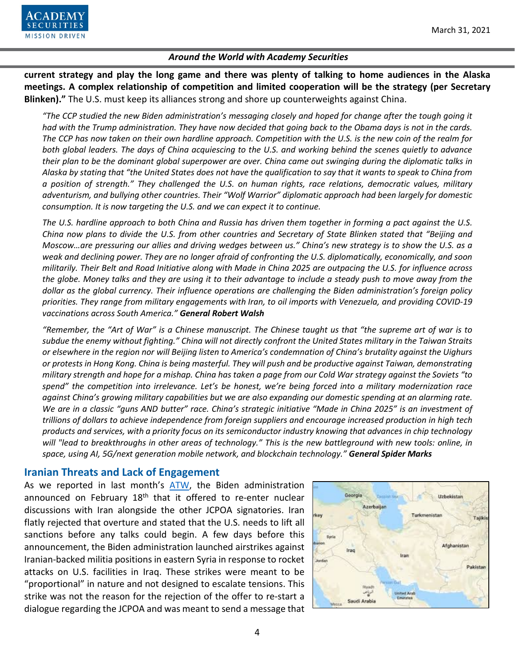

**current strategy and play the long game and there was plenty of talking to home audiences in the Alaska meetings. A complex relationship of competition and limited cooperation will be the strategy (per Secretary Blinken)."** The U.S. must keep its alliances strong and shore up counterweights against China.

*"The CCP studied the new Biden administration's messaging closely and hoped for change after the tough going it had with the Trump administration. They have now decided that going back to the Obama days is not in the cards. The CCP has now taken on their own hardline approach. Competition with the U.S. is the new coin of the realm for both global leaders. The days of China acquiescing to the U.S. and working behind the scenes quietly to advance their plan to be the dominant global superpower are over. China came out swinging during the diplomatic talks in Alaska by stating that "the United States does not have the qualification to say that it wants to speak to China from a position of strength." They challenged the U.S. on human rights, race relations, democratic values, military adventurism, and bullying other countries. Their "Wolf Warrior" diplomatic approach had been largely for domestic consumption. It is now targeting the U.S. and we can expect it to continue.*

*The U.S. hardline approach to both China and Russia has driven them together in forming a pact against the U.S. China now plans to divide the U.S. from other countries and Secretary of State Blinken stated that "Beijing and Moscow…are pressuring our allies and driving wedges between us." China's new strategy is to show the U.S. as a weak and declining power. They are no longer afraid of confronting the U.S. diplomatically, economically, and soon militarily. Their Belt and Road Initiative along with Made in China 2025 are outpacing the U.S. for influence across the globe. Money talks and they are using it to their advantage to include a steady push to move away from the dollar as the global currency. Their influence operations are challenging the Biden administration's foreign policy priorities. They range from military engagements with Iran, to oil imports with Venezuela, and providing COVID-19 vaccinations across South America." General Robert Walsh*

*"Remember, the "Art of War" is a Chinese manuscript. The Chinese taught us that "the supreme art of war is to subdue the enemy without fighting." China will not directly confront the United States military in the Taiwan Straits or elsewhere in the region nor will Beijing listen to America's condemnation of China's brutality against the Uighurs or protests in Hong Kong. China is being masterful. They will push and be productive against Taiwan, demonstrating military strength and hope for a mishap. China has taken a page from our Cold War strategy against the Soviets "to spend" the competition into irrelevance. Let's be honest, we're being forced into a military modernization race against China's growing military capabilities but we are also expanding our domestic spending at an alarming rate. We are in a classic "guns AND butter" race. China's strategic initiative "Made in China 2025" is an investment of trillions of dollars to achieve independence from foreign suppliers and encourage increased production in high tech products and services, with a priority focus on its semiconductor industry knowing that advances in chip technology will "lead to breakthroughs in other areas of technology." This is the new battleground with new tools: online, in space, using AI, 5G/next generation mobile network, and blockchain technology." General Spider Marks*

## **Iranian Threats and Lack of Engagement**

As we reported in last month's [ATW,](https://www.academysecurities.com/wordpress/wp-content/uploads/2021/02/Around-the-World-with-Academy-Securities_2_25_21.pdf) the Biden administration announced on February 18<sup>th</sup> that it offered to re-enter nuclear discussions with Iran alongside the other JCPOA signatories. Iran flatly rejected that overture and stated that the U.S. needs to lift all sanctions before any talks could begin. A few days before this announcement, the Biden administration launched airstrikes against Iranian-backed militia positions in eastern Syria in response to rocket attacks on U.S. facilities in Iraq. These strikes were meant to be "proportional" in nature and not designed to escalate tensions. This strike was not the reason for the rejection of the offer to re-start a dialogue regarding the JCPOA and was meant to send a message that

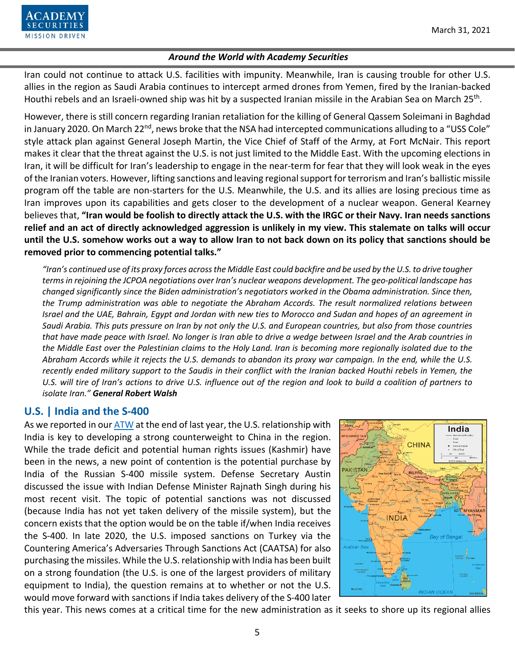

Iran could not continue to attack U.S. facilities with impunity. Meanwhile, Iran is causing trouble for other U.S. allies in the region as Saudi Arabia continues to intercept armed drones from Yemen, fired by the Iranian-backed Houthi rebels and an Israeli-owned ship was hit by a suspected Iranian missile in the Arabian Sea on March 25<sup>th</sup>.

However, there is still concern regarding Iranian retaliation for the killing of General Qassem Soleimani in Baghdad in January 2020. On March 22<sup>nd</sup>, news broke that the NSA had intercepted communications alluding to a "USS Cole" style attack plan against General Joseph Martin, the Vice Chief of Staff of the Army, at Fort McNair. This report makes it clear that the threat against the U.S. is not just limited to the Middle East. With the upcoming elections in Iran, it will be difficult for Iran's leadership to engage in the near-term for fear that they will look weak in the eyes of the Iranian voters. However, lifting sanctions and leaving regional support for terrorism and Iran's ballistic missile program off the table are non-starters for the U.S. Meanwhile, the U.S. and its allies are losing precious time as Iran improves upon its capabilities and gets closer to the development of a nuclear weapon. General Kearney believes that, **"Iran would be foolish to directly attack the U.S. with the IRGC or their Navy. Iran needs sanctions relief and an act of directly acknowledged aggression is unlikely in my view. This stalemate on talks will occur until the U.S. somehow works out a way to allow Iran to not back down on its policy that sanctions should be removed prior to commencing potential talks."**

*"Iran's continued use of its proxy forces across the Middle East could backfire and be used by the U.S. to drive tougher terms in rejoining the JCPOA negotiations over Iran's nuclear weapons development. The geo-political landscape has changed significantly since the Biden administration's negotiators worked in the Obama administration. Since then, the Trump administration was able to negotiate the Abraham Accords. The result normalized relations between Israel and the UAE, Bahrain, Egypt and Jordan with new ties to Morocco and Sudan and hopes of an agreement in Saudi Arabia. This puts pressure on Iran by not only the U.S. and European countries, but also from those countries that have made peace with Israel. No longer is Iran able to drive a wedge between Israel and the Arab countries in the Middle East over the Palestinian claims to the Holy Land. Iran is becoming more regionally isolated due to the Abraham Accords while it rejects the U.S. demands to abandon its proxy war campaign. In the end, while the U.S. recently ended military support to the Saudis in their conflict with the Iranian backed Houthi rebels in Yemen, the U.S. will tire of Iran's actions to drive U.S. influence out of the region and look to build a coalition of partners to isolate Iran." General Robert Walsh*

## **U.S. | India and the S-400**

As we reported in ou[r ATW](https://www.academysecurities.com/wordpress/wp-content/uploads/2020/12/Around-the-World-with-Academy-Securities_12_22_20.pdf) at the end of last year, the U.S. relationship with India is key to developing a strong counterweight to China in the region. While the trade deficit and potential human rights issues (Kashmir) have been in the news, a new point of contention is the potential purchase by India of the Russian S-400 missile system. Defense Secretary Austin discussed the issue with Indian Defense Minister Rajnath Singh during his most recent visit. The topic of potential sanctions was not discussed (because India has not yet taken delivery of the missile system), but the concern exists that the option would be on the table if/when India receives the S-400. In late 2020, the U.S. imposed sanctions on Turkey via the Countering America's Adversaries Through Sanctions Act (CAATSA) for also purchasing the missiles. While the U.S. relationship with India has been built on a strong foundation (the U.S. is one of the largest providers of military equipment to India), the question remains at to whether or not the U.S. would move forward with sanctions if India takes delivery of the S-400 later



this year. This news comes at a critical time for the new administration as it seeks to shore up its regional allies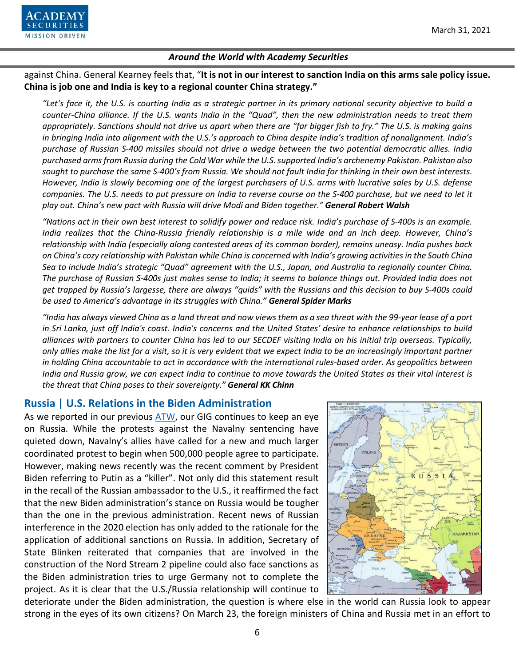

against China. General Kearney feels that, "**It is not in our interest to sanction India on this arms sale policy issue. China is job one and India is key to a regional counter China strategy."**

*"Let's face it, the U.S. is courting India as a strategic partner in its primary national security objective to build a counter-China alliance. If the U.S. wants India in the "Quad", then the new administration needs to treat them appropriately. Sanctions should not drive us apart when there are "far bigger fish to fry." The U.S. is making gains in bringing India into alignment with the U.S.'s approach to China despite India's tradition of nonalignment. India's purchase of Russian S-400 missiles should not drive a wedge between the two potential democratic allies. India purchased arms from Russia during the Cold War while the U.S. supported India's archenemy Pakistan. Pakistan also sought to purchase the same S-400's from Russia. We should not fault India for thinking in their own best interests. However, India is slowly becoming one of the largest purchasers of U.S. arms with lucrative sales by U.S. defense companies. The U.S. needs to put pressure on India to reverse course on the S-400 purchase, but we need to let it play out. China's new pact with Russia will drive Modi and Biden together." General Robert Walsh*

*"Nations act in their own best interest to solidify power and reduce risk. India's purchase of S-400s is an example. India realizes that the China-Russia friendly relationship is a mile wide and an inch deep. However, China's relationship with India (especially along contested areas of its common border), remains uneasy. India pushes back on China's cozy relationship with Pakistan while China is concerned with India's growing activities in the South China Sea to include India's strategic "Quad" agreement with the U.S., Japan, and Australia to regionally counter China. The purchase of Russian S-400s just makes sense to India; it seems to balance things out. Provided India does not get trapped by Russia's largesse, there are always "quids" with the Russians and this decision to buy S-400s could be used to America's advantage in its struggles with China." General Spider Marks*

*"India has always viewed China as a land threat and now views them as a sea threat with the 99-year lease of a port in Sri Lanka, just off India's coast. India's concerns and the United States' desire to enhance relationships to build alliances with partners to counter China has led to our SECDEF visiting India on his initial trip overseas. Typically, only allies make the list for a visit, so it is very evident that we expect India to be an increasingly important partner in holding China accountable to act in accordance with the international rules-based order. As geopolitics between India and Russia grow, we can expect India to continue to move towards the United States as their vital interest is the threat that China poses to their sovereignty." General KK Chinn*

# **Russia | U.S. Relations in the Biden Administration**

As we reported in our previous [ATW,](https://www.academysecurities.com/wordpress/wp-content/uploads/2021/02/Around-the-World-with-Academy-Securities_2_25_21.pdf) our GIG continues to keep an eye on Russia. While the protests against the Navalny sentencing have quieted down, Navalny's allies have called for a new and much larger coordinated protest to begin when 500,000 people agree to participate. However, making news recently was the recent comment by President Biden referring to Putin as a "killer". Not only did this statement result in the recall of the Russian ambassador to the U.S., it reaffirmed the fact that the new Biden administration's stance on Russia would be tougher than the one in the previous administration. Recent news of Russian interference in the 2020 election has only added to the rationale for the application of additional sanctions on Russia. In addition, Secretary of State Blinken reiterated that companies that are involved in the construction of the Nord Stream 2 pipeline could also face sanctions as the Biden administration tries to urge Germany not to complete the project. As it is clear that the U.S./Russia relationship will continue to



deteriorate under the Biden administration, the question is where else in the world can Russia look to appear strong in the eyes of its own citizens? On March 23, the foreign ministers of China and Russia met in an effort to